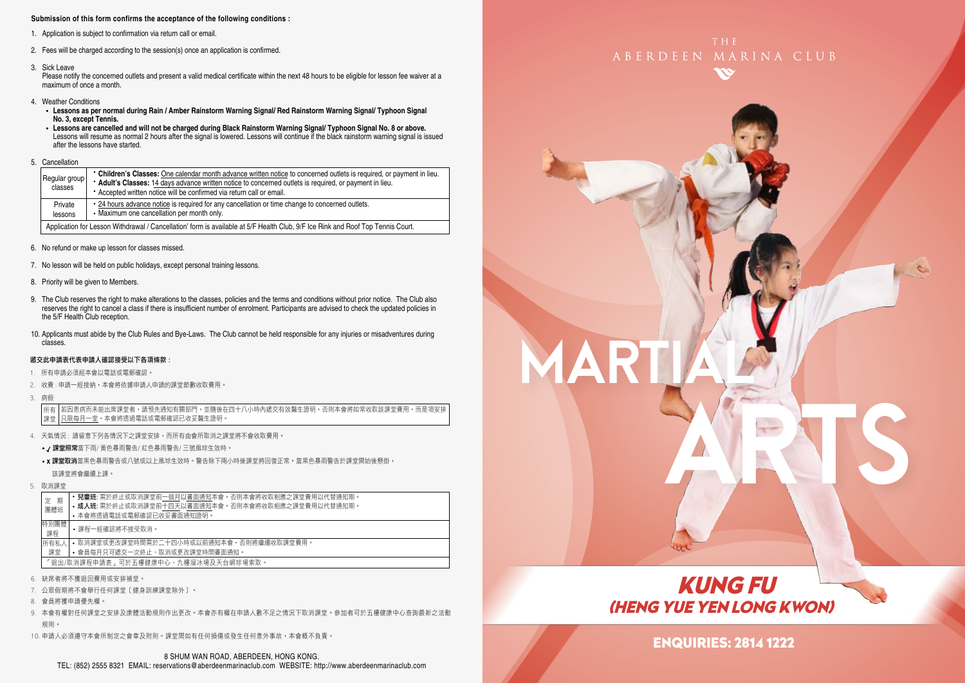#### **Submission of this form confirms the acceptance of the following conditions :**

- 1. Application is subject to confirmation via return call or email.
- 2. Fees will be charged according to the session(s) once an application is confirmed.
- 3. Sick Leave

Please notify the concerned outlets and present a valid medical certificate within the next 48 hours to be eligible for lesson fee waiver at a maximum of once a month.

- 4. Weather Conditions
	- **Lessons as per normal during Rain / Amber Rainstorm Warning Signal/ Red Rainstorm Warning Signal/ Typhoon Signal No. 3, except Tennis.**
	- **Lessons are cancelled and will not be charged during Black Rainstorm Warning Signal/ Typhoon Signal No. 8 or above.** Lessons will resume as normal 2 hours after the signal is lowered. Lessons will continue if the black rainstorm warning signal is issued after the lessons have started.
- 5. Cancellation

|  | Regular group<br>classes                                                                                                        | • Children's Classes: One calendar month advance written notice to concerned outlets is required, or payment in lieu.<br>* Adult's Classes: 14 days advance written notice to concerned outlets is required, or payment in lieu.<br>* Accepted written notice will be confirmed via return call or email. |  |  |  |
|--|---------------------------------------------------------------------------------------------------------------------------------|-----------------------------------------------------------------------------------------------------------------------------------------------------------------------------------------------------------------------------------------------------------------------------------------------------------|--|--|--|
|  | Private<br>lessons                                                                                                              | • 24 hours advance notice is required for any cancellation or time change to concerned outlets.<br>• Maximum one cancellation per month only.                                                                                                                                                             |  |  |  |
|  | Application for Lesson Withdrawal / Cancellation' form is available at 5/F Health Club, 9/F Ice Rink and Roof Top Tennis Court. |                                                                                                                                                                                                                                                                                                           |  |  |  |

- 6. No refund or make up lesson for classes missed.
- 7. No lesson will be held on public holidays, except personal training lessons.
- 8. Priority will be given to Members.
- 9. The Club reserves the right to make alterations to the classes, policies and the terms and conditions without prior notice. The Club also reserves the right to cancel a class if there is insufficient number of enrolment. Participants are advised to check the updated policies in the 5/F Health Club reception.
- 10. Applicants must abide by the Club Rules and Bye-Laws. The Club cannot be held responsible for any injuries or misadventures during classes.

#### 遞交此申請表代表申請人確認接受以下各項條款 :

- 1. 所有申請必須經本會以電話或電郵確認。
- 2. 收費 : 申請一經接納,本會將依據申請人申請的課堂節數收取費用。
- 3. 病假

若因患病而未能出席課堂者,請預先通知有關部門,並隨後在四十八小時內遞交有效醫生證明,否則本會將如常收取該課堂費用,而是項安排 只限每月一堂。本會將透過電話或電郵確認已收妥醫生證明。 所有 課堂

- 4. 天氣情況 : 請留意下列各情況下之課堂安排,而所有由會所取消之課堂將不會收取費用。
	- / 課堂照常當下雨/ 黃色暴雨警告/ 紅色暴雨警告/ 三號風球生效時。
	- x 課堂取消當黑色暴雨警告或八號或以上風球生效時。警告除下兩小時後課堂將回復正常。當黑色暴雨警告於課堂開始後懸掛, 該課堂將會繼續上課。
- 5. 取消課堂

| 期<br>定     | 兒童班:需於終止或取消課堂前一個月以書面通知本會。否則本會將收取相應之課堂費用以代替通知期。    |  |  |  |  |
|------------|---------------------------------------------------|--|--|--|--|
| 團體班        | • 成人班: 需於終止或取消課堂前十四天以書面通知本會。否則本會將收取相應之課堂費用以代替通知期。 |  |  |  |  |
|            | • 本會將透過電話或電郵確認已收妥書面通知證明。                          |  |  |  |  |
| 特別團體<br>課程 | •課程一經確認將不接受取消。                                    |  |  |  |  |
| 所有私人       | • 取消課堂或更改課堂時間需於二十四小時或以前捅知本會,否則將繼續收取課堂費用。          |  |  |  |  |
| 課堂         | • 會員每月只可遞交一次終止、取消或更改課堂時間書面通知。                     |  |  |  |  |
|            | 「狠出/取消課程申請表,可於五樓健康中心、九樓溜冰場及天台網球場索取。               |  |  |  |  |

- 6. 缺席者將不獲退回費用或安排補堂。
- 7. 公眾假期將不會舉行任何課堂﹝健身訓練課堂除外﹞。
- 8. 會員將獲申請優先權。
- 9. 本會有權對任何課堂之安排及康體活動規則作出更改。本會亦有權在申請人數不足之情況下取消課堂。參加者可於五樓健康中心查詢最新之活動 規則。
- 10. 申請人必須遵守本會所制定之會章及附則。課堂間如有任何損傷或發生任何意外事故,本會概不負責。





MARTI

ARTS

ENQUIRIES: 2814 1222